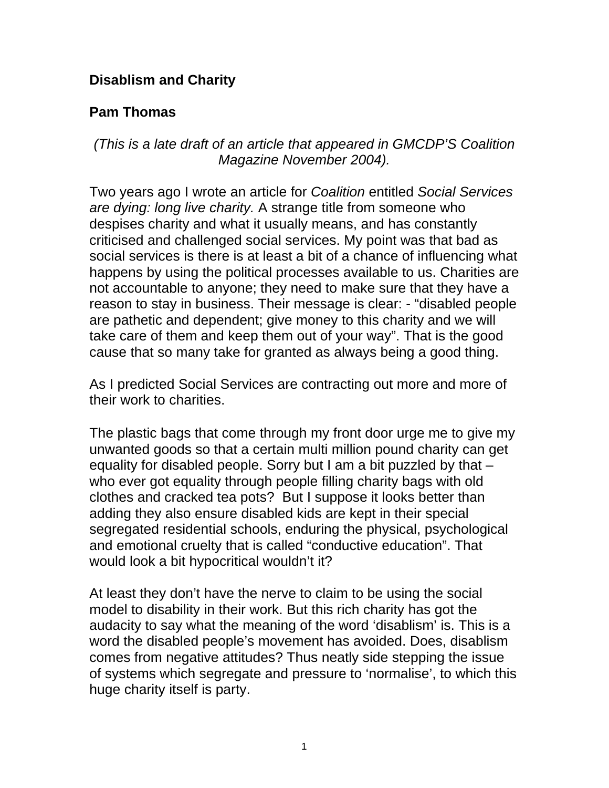## **Disablism and Charity**

## **Pam Thomas**

## *(This is a late draft of an article that appeared in GMCDP'S Coalition Magazine November 2004).*

Two years ago I wrote an article for *Coalition* entitled *Social Services are dying: long live charity.* A strange title from someone who despises charity and what it usually means, and has constantly criticised and challenged social services. My point was that bad as social services is there is at least a bit of a chance of influencing what happens by using the political processes available to us. Charities are not accountable to anyone; they need to make sure that they have a reason to stay in business. Their message is clear: - "disabled people are pathetic and dependent; give money to this charity and we will take care of them and keep them out of your way". That is the good cause that so many take for granted as always being a good thing.

As I predicted Social Services are contracting out more and more of their work to charities.

The plastic bags that come through my front door urge me to give my unwanted goods so that a certain multi million pound charity can get equality for disabled people. Sorry but I am a bit puzzled by that – who ever got equality through people filling charity bags with old clothes and cracked tea pots? But I suppose it looks better than adding they also ensure disabled kids are kept in their special segregated residential schools, enduring the physical, psychological and emotional cruelty that is called "conductive education". That would look a bit hypocritical wouldn't it?

At least they don't have the nerve to claim to be using the social model to disability in their work. But this rich charity has got the audacity to say what the meaning of the word 'disablism' is. This is a word the disabled people's movement has avoided. Does, disablism comes from negative attitudes? Thus neatly side stepping the issue of systems which segregate and pressure to 'normalise', to which this huge charity itself is party.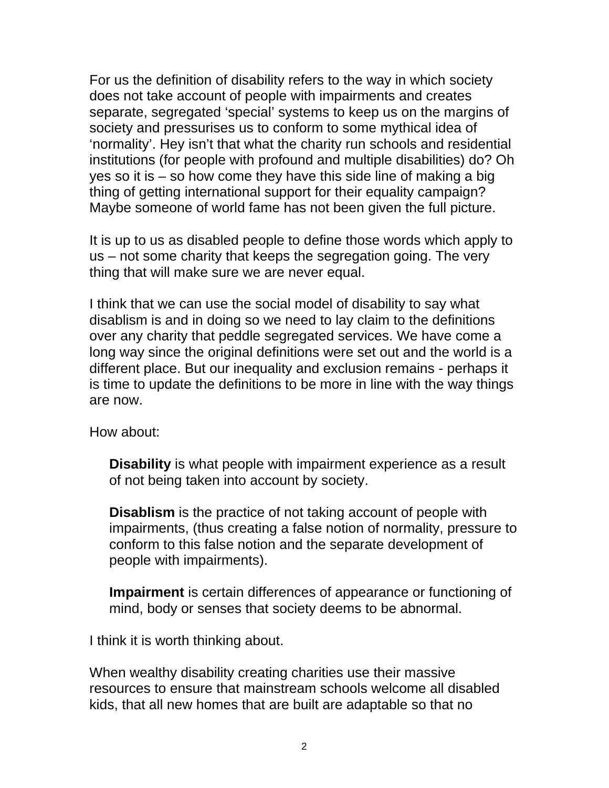For us the definition of disability refers to the way in which society does not take account of people with impairments and creates separate, segregated 'special' systems to keep us on the margins of society and pressurises us to conform to some mythical idea of 'normality'. Hey isn't that what the charity run schools and residential institutions (for people with profound and multiple disabilities) do? Oh yes so it is – so how come they have this side line of making a big thing of getting international support for their equality campaign? Maybe someone of world fame has not been given the full picture.

It is up to us as disabled people to define those words which apply to us – not some charity that keeps the segregation going. The very thing that will make sure we are never equal.

I think that we can use the social model of disability to say what disablism is and in doing so we need to lay claim to the definitions over any charity that peddle segregated services. We have come a long way since the original definitions were set out and the world is a different place. But our inequality and exclusion remains - perhaps it is time to update the definitions to be more in line with the way things are now.

How about:

**Disability** is what people with impairment experience as a result of not being taken into account by society.

**Disablism** is the practice of not taking account of people with impairments, (thus creating a false notion of normality, pressure to conform to this false notion and the separate development of people with impairments).

**Impairment** is certain differences of appearance or functioning of mind, body or senses that society deems to be abnormal.

I think it is worth thinking about.

When wealthy disability creating charities use their massive resources to ensure that mainstream schools welcome all disabled kids, that all new homes that are built are adaptable so that no